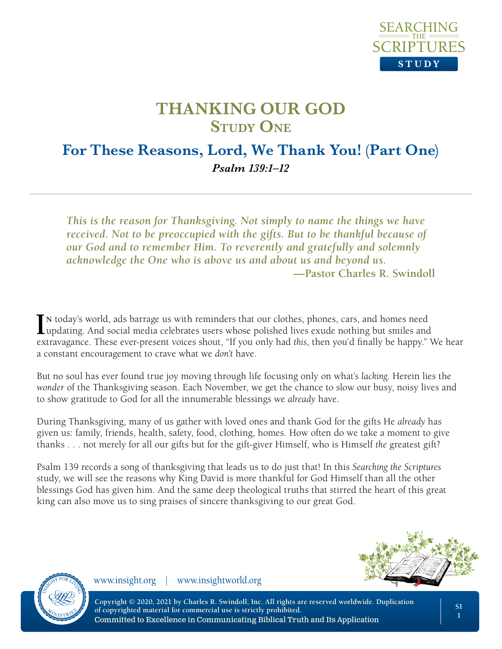

## **For These Reasons, Lord, We Thank You! (Part One)** *Psalm 139:1–12*

*This is the reason for Thanksgiving. Not simply to name the things we have received. Not to be preoccupied with the gifts. But to be thankful because of our God and to remember Him. To reverently and gratefully and solemnly acknowledge the One who is above us and about us and beyond us.* **—Pastor Charles R. Swindoll**

IN today's world, ads barrage us with reminders that our clothes, phones, cars, and homes need<br>updating. And social media celebrates users whose polished lives exude nothing but smiles and<br>updating and  $\sum_{n=1}^{\infty}$ **n** today's world, ads barrage us with reminders that our clothes, phones, cars, and homes need extravagance. These ever-present voices shout, "If you only had *this*, then you'd finally be happy." We hear a constant encouragement to crave what we *don't* have.

But no soul has ever found true joy moving through life focusing only on what's *lacking*. Herein lies the *wonder* of the Thanksgiving season. Each November, we get the chance to slow our busy, noisy lives and to show gratitude to God for all the innumerable blessings we *already* have.

During Thanksgiving, many of us gather with loved ones and thank God for the gifts He *already* has given us: family, friends, health, safety, food, clothing, homes. How often do we take a moment to give thanks . . . not merely for all our gifts but for the gift-giver Himself, who is Himself *the* greatest gift?

Psalm 139 records a song of thanksgiving that leads us to do just that! In this *Searching the Scriptures* study, we will see the reasons why King David is more thankful for God Himself than all the other blessings God has given him. And the same deep theological truths that stirred the heart of this great king can also move us to sing praises of sincere thanksgiving to our great God.





www.insight.org | www.insightworld.org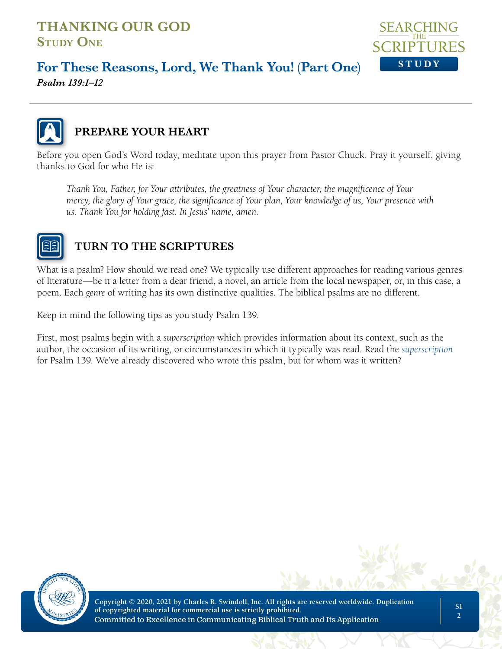

## **For These Reasons, Lord, We Thank You! (Part One)**

*Psalm 139:1–12*



## **PREPARE YOUR HEART**

Before you open God's Word today, meditate upon this prayer from Pastor Chuck. Pray it yourself, giving thanks to God for who He is:

*Thank You, Father, for Your attributes, the greatness of Your character, the magnificence of Your mercy, the glory of Your grace, the significance of Your plan, Your knowledge of us, Your presence with us. Thank You for holding fast. In Jesus' name, amen.*



## **TURN TO THE SCRIPTURES**

What is a psalm? How should we read one? We typically use different approaches for reading various genres of literature—be it a letter from a dear friend, a novel, an article from the local newspaper, or, in this case, a poem. Each *genre* of writing has its own distinctive qualities. The biblical psalms are no different.

Keep in mind the following tips as you study Psalm 139.

First, most psalms begin with a *superscription* which provides information about its context, such as the author, the occasion of its writing, or circumstances in which it typically was read. Read the *superscription* for Psalm 139. We've already discovered who wrote this psalm, but for whom was it written?

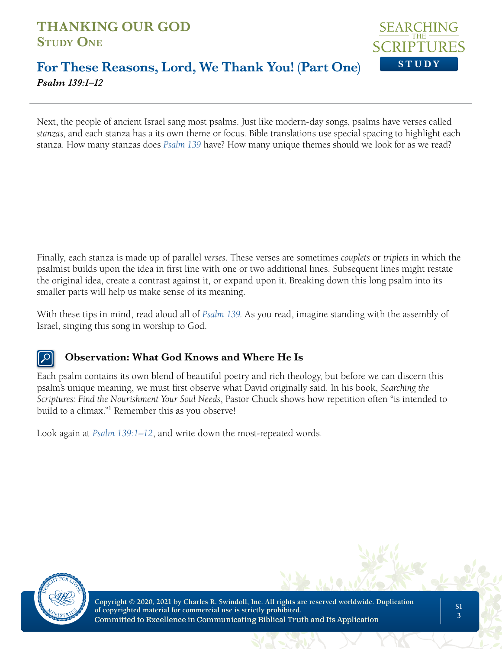

### **For These Reasons, Lord, We Thank You! (Part One)** *Psalm 139:1–12*

Next, the people of ancient Israel sang most psalms. Just like modern-day songs, psalms have verses called *stanzas*, and each stanza has a its own theme or focus. Bible translations use special spacing to highlight each stanza. How many stanzas does *Psalm 139* have? How many unique themes should we look for as we read?

Finally, each stanza is made up of parallel *verses*. These verses are sometimes *couplets* or *triplets* in which the psalmist builds upon the idea in first line with one or two additional lines. Subsequent lines might restate the original idea, create a contrast against it, or expand upon it. Breaking down this long psalm into its smaller parts will help us make sense of its meaning.

With these tips in mind, read aloud all of *Psalm 139*. As you read, imagine standing with the assembly of Israel, singing this song in worship to God.

#### **Observation: What God Knows and Where He Is**

Each psalm contains its own blend of beautiful poetry and rich theology, but before we can discern this psalm's unique meaning, we must first observe what David originally said. In his book, *Searching the Scriptures: Find the Nourishment Your Soul Needs*, Pastor Chuck shows how repetition often "is intended to build to a climax."1 Remember this as you observe!

Look again at *Psalm 139:1–12*, and write down the most-repeated words.

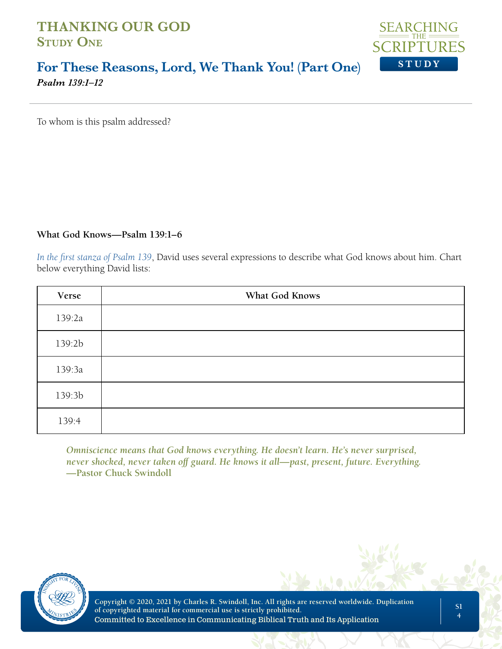

#### **For These Reasons, Lord, We Thank You! (Part One)** *Psalm 139:1–12*

To whom is this psalm addressed?

#### **What God Knows—Psalm 139:1–6**

*In the first stanza of Psalm 139*, David uses several expressions to describe what God knows about him. Chart below everything David lists:

| Verse  | What God Knows |
|--------|----------------|
| 139:2a |                |
| 139:2b |                |
| 139:3a |                |
| 139:3b |                |
| 139:4  |                |

*Omniscience means that God knows everything. He doesn't learn. He's never surprised, never shocked, never taken off guard. He knows it all—past, present, future. Everything.*  **—Pastor Chuck Swindoll**

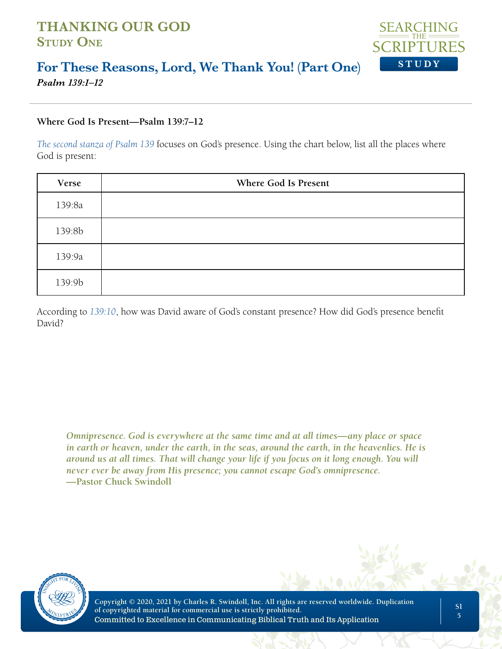

#### **For These Reasons, Lord, We Thank You! (Part One)** *Psalm 139:1–12*

#### **Where God Is Present—Psalm 139:7–12**

*The second stanza of Psalm 139* focuses on God's presence. Using the chart below, list all the places where God is present:

| Verse  | Where God Is Present |
|--------|----------------------|
| 139:8a |                      |
| 139:8b |                      |
| 139:9a |                      |
| 139:9b |                      |

According to *139:10*, how was David aware of God's constant presence? How did God's presence benefit David?

*Omnipresence. God is everywhere at the same time and at all times—any place or space in earth or heaven, under the earth, in the seas, around the earth, in the heavenlies. He is around us at all times. That will change your life if you focus on it long enough. You will never ever be away from His presence; you cannot escape God's omnipresence.*  **—Pastor Chuck Swindoll**

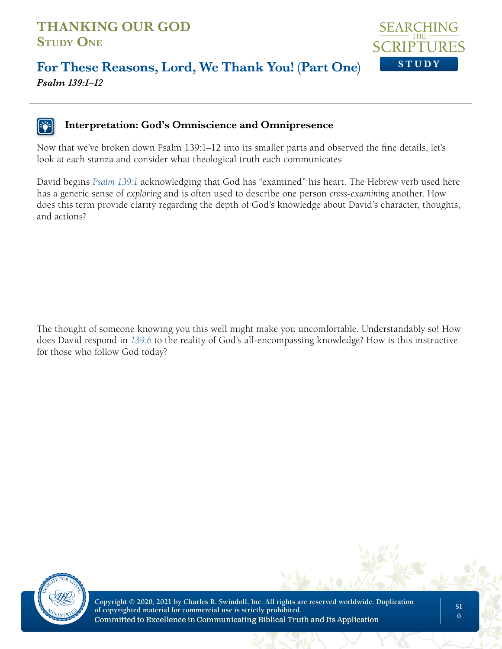

## **For These Reasons, Lord, We Thank You! (Part One)** *Psalm 139:1–12*

#### **Interpretation: God's Omniscience and Omnipresence**

Now that we've broken down Psalm 139:1–12 into its smaller parts and observed the fine details, let's look at each stanza and consider what theological truth each communicates.

David begins *Psalm 139:1* acknowledging that God has "examined" his heart. The Hebrew verb used here has a generic sense of *exploring* and is often used to describe one person *cross-examining* another. How does this term provide clarity regarding the depth of God's knowledge about David's character, thoughts, and actions?

The thought of someone knowing you this well might make you uncomfortable. Understandably so! How does David respond in *139:6* to the reality of God's all-encompassing knowledge? How is this instructive for those who follow God today?

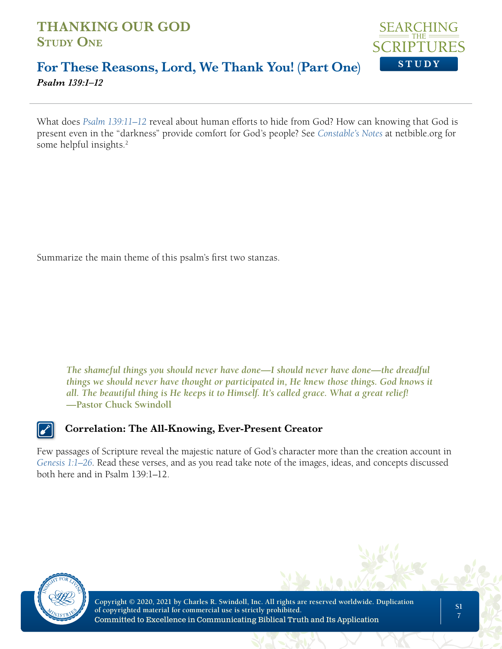

#### **For These Reasons, Lord, We Thank You! (Part One)** *Psalm 139:1–12*

What does *Psalm 139:11–12* reveal about human efforts to hide from God? How can knowing that God is present even in the "darkness" provide comfort for God's people? See *Constable's Notes* at netbible.org for some helpful insights.<sup>2</sup>

Summarize the main theme of this psalm's first two stanzas.

*The shameful things you should never have done—I should never have done—the dreadful things we should never have thought or participated in, He knew those things. God knows it all. The beautiful thing is He keeps it to Himself. It's called grace. What a great relief!*  **—Pastor Chuck Swindoll**

**Correlation: The All-Knowing, Ever-Present Creator**

Few passages of Scripture reveal the majestic nature of God's character more than the creation account in *Genesis 1:1–26*. Read these verses, and as you read take note of the images, ideas, and concepts discussed both here and in Psalm 139:1–12.

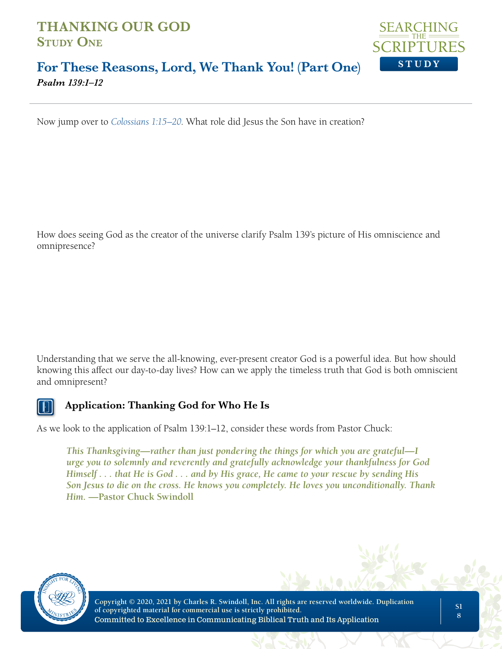

#### **For These Reasons, Lord, We Thank You! (Part One)** *Psalm 139:1–12*

Now jump over to *Colossians 1:15–20*. What role did Jesus the Son have in creation?

How does seeing God as the creator of the universe clarify Psalm 139's picture of His omniscience and omnipresence?

Understanding that we serve the all-knowing, ever-present creator God is a powerful idea. But how should knowing this affect our day-to-day lives? How can we apply the timeless truth that God is both omniscient and omnipresent?



#### **Application: Thanking God for Who He Is**

As we look to the application of Psalm 139:1–12, consider these words from Pastor Chuck:

*This Thanksgiving—rather than just pondering the things for which you are grateful—I urge you to solemnly and reverently and gratefully acknowledge your thankfulness for God Himself . . . that He is God . . . and by His grace, He came to your rescue by sending His Son Jesus to die on the cross. He knows you completely. He loves you unconditionally. Thank Him.* **—Pastor Chuck Swindoll**